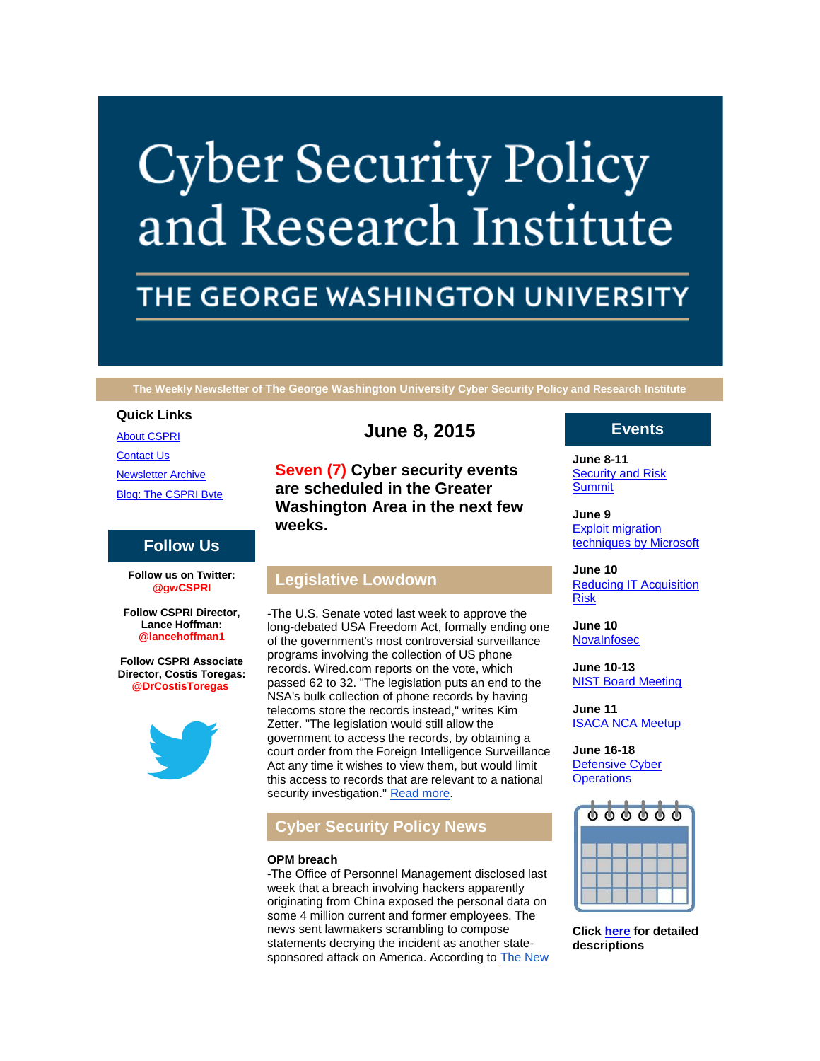# **Cyber Security Policy** and Research Institute

# THE GEORGE WASHINGTON UNIVERSITY

**The Weekly Newsletter of The George Washington University Cyber Security Policy and Research Institute**

### **Quick Links**

[About CSPRI](http://r20.rs6.net/tn.jsp?f=001CWTapkY0PUeuvoi2xeusOAQxCSEkMR-COoc_L2DjFt-cqR1KG5vEMUA1M9x2izPnFCKHffPhP-DiaXMBWXJJeDq95pSnixq-NrNvyK3Y2ClDm2wi3TQHFw4P-BbsF8uXzM5-5C0dGZvbsmBYBppfYAi3gXzH2EaOTui4faSrMnjMFjLHCuJgx75BuMrDpQum&c=yVzHsw1KWYQmTFSDZZ7KhB5LDe4CJxuUmFORylOigxkCaO9UOwhnUw==&ch=Cf46CXuVU0rIRiOhVa4qKeZegKThXrNNb01tCxBFBrwkuthBjJj-EA==)

[Contact Us](http://r20.rs6.net/tn.jsp?f=001CWTapkY0PUeuvoi2xeusOAQxCSEkMR-COoc_L2DjFt-cqR1KG5vEMUA1M9x2izPnz_w4icolOBEXwAkanpsvXvVfqChX6bV-L77khLFV78Duncv1Dy6nXjsiag7do46CalDIZ-U3JPXURhs9MqFg3U2x7ZaBuVko3PpFX6GkKXk6chaHASvRA_nqIYvaE4pdlzJt-vQ2urU=&c=yVzHsw1KWYQmTFSDZZ7KhB5LDe4CJxuUmFORylOigxkCaO9UOwhnUw==&ch=Cf46CXuVU0rIRiOhVa4qKeZegKThXrNNb01tCxBFBrwkuthBjJj-EA==) [Newsletter Archive](http://r20.rs6.net/tn.jsp?f=001CWTapkY0PUeuvoi2xeusOAQxCSEkMR-COoc_L2DjFt-cqR1KG5vEMUA1M9x2izPnG2g12ljTq7Tj5Se79M0bvWKNX-MI1-NaEdV1xDEdv6OMDPfgk3HcbTXjzl6QrVFSo_ce6ppdb2L_VAyYDMJkrsXI7D_fx2KuoLEiTUyMVjLpELBnprQk_DG7pAuryHWUf_iO_Q9cBQI=&c=yVzHsw1KWYQmTFSDZZ7KhB5LDe4CJxuUmFORylOigxkCaO9UOwhnUw==&ch=Cf46CXuVU0rIRiOhVa4qKeZegKThXrNNb01tCxBFBrwkuthBjJj-EA==)

[Blog: The CSPRI Byte](http://r20.rs6.net/tn.jsp?f=001CWTapkY0PUeuvoi2xeusOAQxCSEkMR-COoc_L2DjFt-cqR1KG5vEMUA1M9x2izPnxy__UdtDehndPgCtj1vEiMX-_GmakaYuGHXizJHJ7lFRa68kO84Eu98hwxHWTqDJ-xBzWBxBSlHD97P3dbyRPng2U-3gyKEvww60whd9wzH3NLcVCCta8h104sa0BB9w&c=yVzHsw1KWYQmTFSDZZ7KhB5LDe4CJxuUmFORylOigxkCaO9UOwhnUw==&ch=Cf46CXuVU0rIRiOhVa4qKeZegKThXrNNb01tCxBFBrwkuthBjJj-EA==)

# **Follow Us**

**Follow us on Twitter: @gwCSPRI**

**Follow CSPRI Director, Lance Hoffman: @lancehoffman1**

**Follow CSPRI Associate Director, Costis Toregas: @DrCostisToregas**



# **June 8, 2015**

**Seven (7) Cyber security events are scheduled in the Greater Washington Area in the next few weeks.**

# **Legislative Lowdown**

-The U.S. Senate voted last week to approve the long-debated USA Freedom Act, formally ending one of the government's most controversial surveillance programs involving the collection of US phone records. Wired.com reports on the vote, which passed 62 to 32. "The legislation puts an end to the NSA's bulk collection of phone records by having telecoms store the records instead," writes Kim Zetter. "The legislation would still allow the government to access the records, by obtaining a court order from the Foreign Intelligence Surveillance Act any time it wishes to view them, but would limit this access to records that are relevant to a national security investigation." [Read more.](http://r20.rs6.net/tn.jsp?f=001CWTapkY0PUeuvoi2xeusOAQxCSEkMR-COoc_L2DjFt-cqR1KG5vEMSUEsDOFSvtpstNx27v06t2YudQAEj5oQ35gckZ1J9Nv0c0EIaE7MA2u0CYzWJXMXpIs9T4EuSCDwhClqhqNXvC53TmsH3e29mdV94lpsbo3zFsGu_yTKljtEsaQiBatP8qczOLg92p0f_UAV1a4U7XQbGxTzpUpINHU0rfMNiRrdcf_BV-leok=&c=yVzHsw1KWYQmTFSDZZ7KhB5LDe4CJxuUmFORylOigxkCaO9UOwhnUw==&ch=Cf46CXuVU0rIRiOhVa4qKeZegKThXrNNb01tCxBFBrwkuthBjJj-EA==)

# **Cyber Security Policy News**

# **OPM breach**

-The Office of Personnel Management disclosed last week that a breach involving hackers apparently originating from China exposed the personal data on some 4 million current and former employees. The news sent lawmakers scrambling to compose statements decrying the incident as another statesponsored attack on America. According to **The New** 

# **Events**

**June 8-11** [Security and Risk](http://r20.rs6.net/tn.jsp?f=001CWTapkY0PUeuvoi2xeusOAQxCSEkMR-COoc_L2DjFt-cqR1KG5vEMZ3rCWXNt6tiMc9xqXrW4YsOiiS47PZDeCs4MMo2xrVnzQudVe026_Lf0DbGgvkI7HskdPBenXlgXpgu_00Psev832aMy7y0lGbdvApC_WzXB6dh59QA_IyfmKGKchDCM-zD6AL_a_9Uwp3Wi2bzlCM=&c=yVzHsw1KWYQmTFSDZZ7KhB5LDe4CJxuUmFORylOigxkCaO9UOwhnUw==&ch=Cf46CXuVU0rIRiOhVa4qKeZegKThXrNNb01tCxBFBrwkuthBjJj-EA==)  **[Summit](http://r20.rs6.net/tn.jsp?f=001CWTapkY0PUeuvoi2xeusOAQxCSEkMR-COoc_L2DjFt-cqR1KG5vEMZ3rCWXNt6tiMc9xqXrW4YsOiiS47PZDeCs4MMo2xrVnzQudVe026_Lf0DbGgvkI7HskdPBenXlgXpgu_00Psev832aMy7y0lGbdvApC_WzXB6dh59QA_IyfmKGKchDCM-zD6AL_a_9Uwp3Wi2bzlCM=&c=yVzHsw1KWYQmTFSDZZ7KhB5LDe4CJxuUmFORylOigxkCaO9UOwhnUw==&ch=Cf46CXuVU0rIRiOhVa4qKeZegKThXrNNb01tCxBFBrwkuthBjJj-EA==)** 

**June 9** [Exploit migration](http://r20.rs6.net/tn.jsp?f=001CWTapkY0PUeuvoi2xeusOAQxCSEkMR-COoc_L2DjFt-cqR1KG5vEMZ3rCWXNt6tiMc9xqXrW4YsOiiS47PZDeCs4MMo2xrVnzQudVe026_Lf0DbGgvkI7HskdPBenXlgXpgu_00Psev832aMy7y0lGbdvApC_WzXB6dh59QA_IyfmKGKchDCM-zD6AL_a_9Uwp3Wi2bzlCM=&c=yVzHsw1KWYQmTFSDZZ7KhB5LDe4CJxuUmFORylOigxkCaO9UOwhnUw==&ch=Cf46CXuVU0rIRiOhVa4qKeZegKThXrNNb01tCxBFBrwkuthBjJj-EA==)  [techniques by Microsoft](http://r20.rs6.net/tn.jsp?f=001CWTapkY0PUeuvoi2xeusOAQxCSEkMR-COoc_L2DjFt-cqR1KG5vEMZ3rCWXNt6tiMc9xqXrW4YsOiiS47PZDeCs4MMo2xrVnzQudVe026_Lf0DbGgvkI7HskdPBenXlgXpgu_00Psev832aMy7y0lGbdvApC_WzXB6dh59QA_IyfmKGKchDCM-zD6AL_a_9Uwp3Wi2bzlCM=&c=yVzHsw1KWYQmTFSDZZ7KhB5LDe4CJxuUmFORylOigxkCaO9UOwhnUw==&ch=Cf46CXuVU0rIRiOhVa4qKeZegKThXrNNb01tCxBFBrwkuthBjJj-EA==)

**June 10** [Reducing IT Acquisition](http://r20.rs6.net/tn.jsp?f=001CWTapkY0PUeuvoi2xeusOAQxCSEkMR-COoc_L2DjFt-cqR1KG5vEMZ3rCWXNt6tiMc9xqXrW4YsOiiS47PZDeCs4MMo2xrVnzQudVe026_Lf0DbGgvkI7HskdPBenXlgXpgu_00Psev832aMy7y0lGbdvApC_WzXB6dh59QA_IyfmKGKchDCM-zD6AL_a_9Uwp3Wi2bzlCM=&c=yVzHsw1KWYQmTFSDZZ7KhB5LDe4CJxuUmFORylOigxkCaO9UOwhnUw==&ch=Cf46CXuVU0rIRiOhVa4qKeZegKThXrNNb01tCxBFBrwkuthBjJj-EA==)  [Risk](http://r20.rs6.net/tn.jsp?f=001CWTapkY0PUeuvoi2xeusOAQxCSEkMR-COoc_L2DjFt-cqR1KG5vEMZ3rCWXNt6tiMc9xqXrW4YsOiiS47PZDeCs4MMo2xrVnzQudVe026_Lf0DbGgvkI7HskdPBenXlgXpgu_00Psev832aMy7y0lGbdvApC_WzXB6dh59QA_IyfmKGKchDCM-zD6AL_a_9Uwp3Wi2bzlCM=&c=yVzHsw1KWYQmTFSDZZ7KhB5LDe4CJxuUmFORylOigxkCaO9UOwhnUw==&ch=Cf46CXuVU0rIRiOhVa4qKeZegKThXrNNb01tCxBFBrwkuthBjJj-EA==)

**June 10** [NovaInfosec](http://r20.rs6.net/tn.jsp?f=001CWTapkY0PUeuvoi2xeusOAQxCSEkMR-COoc_L2DjFt-cqR1KG5vEMZ3rCWXNt6tiMc9xqXrW4YsOiiS47PZDeCs4MMo2xrVnzQudVe026_Lf0DbGgvkI7HskdPBenXlgXpgu_00Psev832aMy7y0lGbdvApC_WzXB6dh59QA_IyfmKGKchDCM-zD6AL_a_9Uwp3Wi2bzlCM=&c=yVzHsw1KWYQmTFSDZZ7KhB5LDe4CJxuUmFORylOigxkCaO9UOwhnUw==&ch=Cf46CXuVU0rIRiOhVa4qKeZegKThXrNNb01tCxBFBrwkuthBjJj-EA==)

**June 10-13** [NIST Board Meeting](http://r20.rs6.net/tn.jsp?f=001CWTapkY0PUeuvoi2xeusOAQxCSEkMR-COoc_L2DjFt-cqR1KG5vEMZ3rCWXNt6tiMc9xqXrW4YsOiiS47PZDeCs4MMo2xrVnzQudVe026_Lf0DbGgvkI7HskdPBenXlgXpgu_00Psev832aMy7y0lGbdvApC_WzXB6dh59QA_IyfmKGKchDCM-zD6AL_a_9Uwp3Wi2bzlCM=&c=yVzHsw1KWYQmTFSDZZ7KhB5LDe4CJxuUmFORylOigxkCaO9UOwhnUw==&ch=Cf46CXuVU0rIRiOhVa4qKeZegKThXrNNb01tCxBFBrwkuthBjJj-EA==)

**June 11** [ISACA NCA Meetup](http://r20.rs6.net/tn.jsp?f=001CWTapkY0PUeuvoi2xeusOAQxCSEkMR-COoc_L2DjFt-cqR1KG5vEMZ3rCWXNt6tiMc9xqXrW4YsOiiS47PZDeCs4MMo2xrVnzQudVe026_Lf0DbGgvkI7HskdPBenXlgXpgu_00Psev832aMy7y0lGbdvApC_WzXB6dh59QA_IyfmKGKchDCM-zD6AL_a_9Uwp3Wi2bzlCM=&c=yVzHsw1KWYQmTFSDZZ7KhB5LDe4CJxuUmFORylOigxkCaO9UOwhnUw==&ch=Cf46CXuVU0rIRiOhVa4qKeZegKThXrNNb01tCxBFBrwkuthBjJj-EA==)

#### **June 16-18** [Defensive Cyber](http://r20.rs6.net/tn.jsp?f=001CWTapkY0PUeuvoi2xeusOAQxCSEkMR-COoc_L2DjFt-cqR1KG5vEMZ3rCWXNt6tiMc9xqXrW4YsOiiS47PZDeCs4MMo2xrVnzQudVe026_Lf0DbGgvkI7HskdPBenXlgXpgu_00Psev832aMy7y0lGbdvApC_WzXB6dh59QA_IyfmKGKchDCM-zD6AL_a_9Uwp3Wi2bzlCM=&c=yVzHsw1KWYQmTFSDZZ7KhB5LDe4CJxuUmFORylOigxkCaO9UOwhnUw==&ch=Cf46CXuVU0rIRiOhVa4qKeZegKThXrNNb01tCxBFBrwkuthBjJj-EA==)  **[Operations](http://r20.rs6.net/tn.jsp?f=001CWTapkY0PUeuvoi2xeusOAQxCSEkMR-COoc_L2DjFt-cqR1KG5vEMZ3rCWXNt6tiMc9xqXrW4YsOiiS47PZDeCs4MMo2xrVnzQudVe026_Lf0DbGgvkI7HskdPBenXlgXpgu_00Psev832aMy7y0lGbdvApC_WzXB6dh59QA_IyfmKGKchDCM-zD6AL_a_9Uwp3Wi2bzlCM=&c=yVzHsw1KWYQmTFSDZZ7KhB5LDe4CJxuUmFORylOigxkCaO9UOwhnUw==&ch=Cf46CXuVU0rIRiOhVa4qKeZegKThXrNNb01tCxBFBrwkuthBjJj-EA==)**

 $000000$ 

**Click [here](http://r20.rs6.net/tn.jsp?f=001CWTapkY0PUeuvoi2xeusOAQxCSEkMR-COoc_L2DjFt-cqR1KG5vEMUA1M9x2izPnZkLylEWS7HWNj0KZG3qullapMxYbVPFrXU_ROfgWHEiGIYMdlYhf_BSmneKtG_YG9Xehyvicip_lnsDYBjRKSZjf9t1d2FknfxzaQoGhFNUNiUSbjiofjLrNeAEaUz2Bv3mnNQAYYChylZuYWYl4PA==&c=yVzHsw1KWYQmTFSDZZ7KhB5LDe4CJxuUmFORylOigxkCaO9UOwhnUw==&ch=Cf46CXuVU0rIRiOhVa4qKeZegKThXrNNb01tCxBFBrwkuthBjJj-EA==) for detailed descriptions**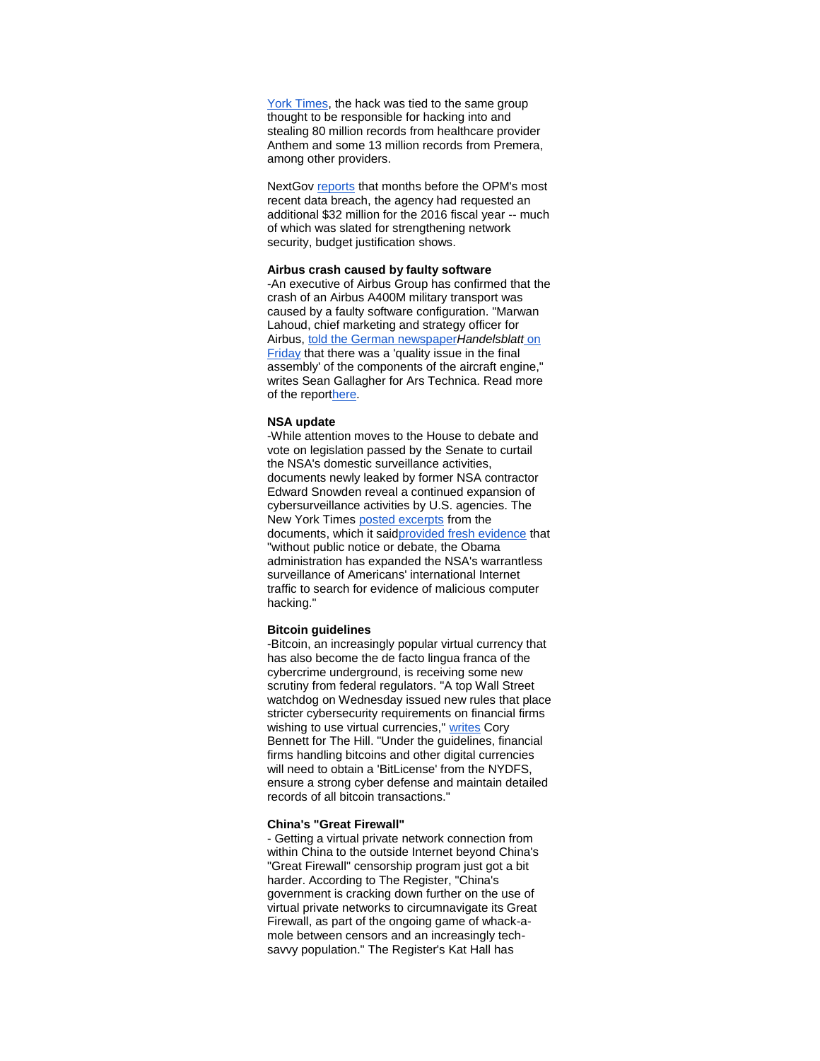York Times, the hack was tied to the same group thought to be responsible for hacking into and stealing 80 million records from healthcare provider Anthem and some 13 million records from Premera, among other providers.

NextGov [reports](http://r20.rs6.net/tn.jsp?f=001CWTapkY0PUeuvoi2xeusOAQxCSEkMR-COoc_L2DjFt-cqR1KG5vEMSUEsDOFSvtpXL0Q_lWKZaBwq9p_zXXsfjZuVdzWYxp2zxi5W66AlbE6nZT9edQiGAPgq29O5m4u8V7XCfgjlYQ46WhOiMXYIBz3td60hc_pq_8mxsAo-n4k0flWN8Xnai7jWNr46oYRBeodinvLJv3viEBIFZ9UfmSdeABxLTJ_UYM5R4OS5u5A45lrBimTbEwk_fbrvUTjeU8qDavfQi9pP593Gc-SHj17LhiAqObO8jhkIaQA5p5qlA5JPpjLqg==&c=yVzHsw1KWYQmTFSDZZ7KhB5LDe4CJxuUmFORylOigxkCaO9UOwhnUw==&ch=Cf46CXuVU0rIRiOhVa4qKeZegKThXrNNb01tCxBFBrwkuthBjJj-EA==) that months before the OPM's most recent data breach, the agency had requested an additional \$32 million for the 2016 fiscal year -- much of which was slated for strengthening network security, budget justification shows.

#### **Airbus crash caused by faulty software**

-An executive of Airbus Group has confirmed that the crash of an Airbus A400M military transport was caused by a faulty software configuration. "Marwan Lahoud, chief marketing and strategy officer for Airbus, [told the German newspaper](http://r20.rs6.net/tn.jsp?f=001CWTapkY0PUeuvoi2xeusOAQxCSEkMR-COoc_L2DjFt-cqR1KG5vEMSUEsDOFSvtpr2bbdJQE2DzVF3xLkAaADPZTOzMmMuq1bzLvqYlaf56P9RBX1_PPO0EKHcjQytOM6imydNeUpNiOg7m14Ktc-LFRsOQcD9euiQ-nSpMY0HQZUE7MVEooYWrsGYARy1vsIyRHiyW2uKRQIBkHyg-2umLyoeXjfRQxHB-NtjGw6nqgmZdgBb1EdgtaYet3Uza35dmm5eLdnASja8_TDxRWqirW99dx0xma00cHFXJXf9bg_vTjfINBFj9sKx-EtjdZ54jKLPColWRMjVOMbLxtnQ==&c=yVzHsw1KWYQmTFSDZZ7KhB5LDe4CJxuUmFORylOigxkCaO9UOwhnUw==&ch=Cf46CXuVU0rIRiOhVa4qKeZegKThXrNNb01tCxBFBrwkuthBjJj-EA==)*Handelsblatt* on [Friday](http://r20.rs6.net/tn.jsp?f=001CWTapkY0PUeuvoi2xeusOAQxCSEkMR-COoc_L2DjFt-cqR1KG5vEMSUEsDOFSvtpr2bbdJQE2DzVF3xLkAaADPZTOzMmMuq1bzLvqYlaf56P9RBX1_PPO0EKHcjQytOM6imydNeUpNiOg7m14Ktc-LFRsOQcD9euiQ-nSpMY0HQZUE7MVEooYWrsGYARy1vsIyRHiyW2uKRQIBkHyg-2umLyoeXjfRQxHB-NtjGw6nqgmZdgBb1EdgtaYet3Uza35dmm5eLdnASja8_TDxRWqirW99dx0xma00cHFXJXf9bg_vTjfINBFj9sKx-EtjdZ54jKLPColWRMjVOMbLxtnQ==&c=yVzHsw1KWYQmTFSDZZ7KhB5LDe4CJxuUmFORylOigxkCaO9UOwhnUw==&ch=Cf46CXuVU0rIRiOhVa4qKeZegKThXrNNb01tCxBFBrwkuthBjJj-EA==) that there was a 'quality issue in the final assembly' of the components of the aircraft engine," writes Sean Gallagher for Ars Technica. Read more of the repor[there.](http://r20.rs6.net/tn.jsp?f=001CWTapkY0PUeuvoi2xeusOAQxCSEkMR-COoc_L2DjFt-cqR1KG5vEMSUEsDOFSvtpdXbc2uMxFRSQJAROvYn9T8Y_4MwexHkZEi48ILbKPIx6W87G9J766Eqo4wq2BkqvnvOO4rhDXtSAduJHODTmQdZz5J0EcH0qSn9_8KGI6wc8Cjnb1Be73dTCYKhj4GtJHk_xxOsJnBTPVBAr3iw9bVmJtfptWEt9_SDMq6PQF4NsIVte3tjtK_INr_6n_7AFSNT7R0bM6c5ftuEaznezswE5yyhUbAqJUAwxzwxZOCRVMhUlLzdwsg==&c=yVzHsw1KWYQmTFSDZZ7KhB5LDe4CJxuUmFORylOigxkCaO9UOwhnUw==&ch=Cf46CXuVU0rIRiOhVa4qKeZegKThXrNNb01tCxBFBrwkuthBjJj-EA==)

#### **NSA update**

-While attention moves to the House to debate and vote on legislation passed by the Senate to curtail the NSA's domestic surveillance activities, documents newly leaked by former NSA contractor Edward Snowden reveal a continued expansion of cybersurveillance activities by U.S. agencies. The New York Times [posted excerpts](http://r20.rs6.net/tn.jsp?f=001CWTapkY0PUeuvoi2xeusOAQxCSEkMR-COoc_L2DjFt-cqR1KG5vEMSUEsDOFSvtpa9R_k9EhR3lX5xclVXFJPfJ77RKcwMvEkVhXClxcb_kq2j4o8fFZ8NffPsNguWM9Y_VhJ1ZwO9O_c1nDgAn-j1YBdJhocQMJTsybw_H894S1znsbP_cQ-LamnnecRtqUm8aK3xDv4eAqTrG3B8Pr8e9q4WSF2VrHnoGVI-uV9Doz69VwAYU1x4LMdaS-DCZwQmHpoj4GnZ1o8c7DrMH8dVe2IldNmX_0&c=yVzHsw1KWYQmTFSDZZ7KhB5LDe4CJxuUmFORylOigxkCaO9UOwhnUw==&ch=Cf46CXuVU0rIRiOhVa4qKeZegKThXrNNb01tCxBFBrwkuthBjJj-EA==) from the documents, which it sai[dprovided fresh evidence](http://r20.rs6.net/tn.jsp?f=001CWTapkY0PUeuvoi2xeusOAQxCSEkMR-COoc_L2DjFt-cqR1KG5vEMSUEsDOFSvtp61G8gareo9jk8n0s1QvBtCa0lNVxzt4UzsoAyAB3zw6yV_smW1_k9u6U__gyYPdYm17-XBCL7Ro3QZ0lhzrSUd_y-OXEama0C_QdrYXwfTDgajKAmLSCy2nCvYe-mv6MYx3HNGV2oy_f6inZbCUG96RQlgd2r3e2qTvG6FEojEZ9R_CX8wGMbZFl9qn88OUCxWkhniu1svMgVCf8T5ySis2skf3A4vgami6RIxhul8s=&c=yVzHsw1KWYQmTFSDZZ7KhB5LDe4CJxuUmFORylOigxkCaO9UOwhnUw==&ch=Cf46CXuVU0rIRiOhVa4qKeZegKThXrNNb01tCxBFBrwkuthBjJj-EA==) that "without public notice or debate, the Obama administration has expanded the NSA's warrantless surveillance of Americans' international Internet traffic to search for evidence of malicious computer hacking."

# **Bitcoin guidelines**

-Bitcoin, an increasingly popular virtual currency that has also become the de facto lingua franca of the cybercrime underground, is receiving some new scrutiny from federal regulators. "A top Wall Street watchdog on Wednesday issued new rules that place stricter cybersecurity requirements on financial firms wishing to use virtual currencies," [writes](http://r20.rs6.net/tn.jsp?f=001CWTapkY0PUeuvoi2xeusOAQxCSEkMR-COoc_L2DjFt-cqR1KG5vEMSUEsDOFSvtpMToqo2H2t0KNP5_PX-MgB6fniqXZShmvRF3wirNv9F07--jPr_XnIG330szU0J25_s_m-tcxfG7VTwEypxwS4HcG1MpK1bLOooDlufuN3oTrWiwRZRrPkna8e0gkmDgEts0OPxvyVWmWC9nHbfFPOe3SL-7_gPMnjq1QIiZlMTS7t_1QWZtJ6RIb3L-h7VbmrzFjGX0PikOyg0B3cndSGA==&c=yVzHsw1KWYQmTFSDZZ7KhB5LDe4CJxuUmFORylOigxkCaO9UOwhnUw==&ch=Cf46CXuVU0rIRiOhVa4qKeZegKThXrNNb01tCxBFBrwkuthBjJj-EA==) Cory Bennett for The Hill. "Under the guidelines, financial firms handling bitcoins and other digital currencies will need to obtain a 'BitLicense' from the NYDFS, ensure a strong cyber defense and maintain detailed records of all bitcoin transactions."

## **China's "Great Firewall"**

- Getting a virtual private network connection from within China to the outside Internet beyond China's "Great Firewall" censorship program just got a bit harder. According to The Register, "China's government is cracking down further on the use of virtual private networks to circumnavigate its Great Firewall, as part of the ongoing game of whack-amole between censors and an increasingly techsavvy population." The Register's Kat Hall has